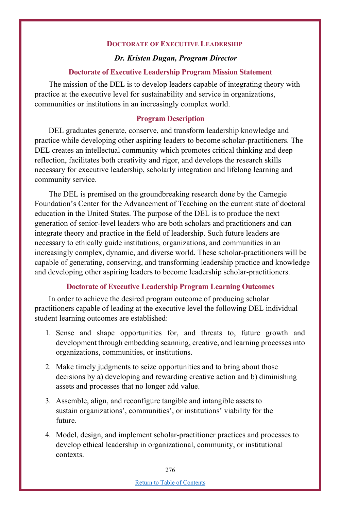## **DOCTORATE OF EXECUTIVE LEADERSHIP**

## *Dr. Kristen Dugan, Program Director*

#### **Doctorate of Executive Leadership Program Mission Statement**

The mission of the DEL is to develop leaders capable of integrating theory with practice at the executive level for sustainability and service in organizations, communities or institutions in an increasingly complex world.

## **Program Description**

DEL graduates generate, conserve, and transform leadership knowledge and practice while developing other aspiring leaders to become scholar-practitioners. The DEL creates an intellectual community which promotes critical thinking and deep reflection, facilitates both creativity and rigor, and develops the research skills necessary for executive leadership, scholarly integration and lifelong learning and community service.

The DEL is premised on the groundbreaking research done by the Carnegie Foundation's Center for the Advancement of Teaching on the current state of doctoral education in the United States. The purpose of the DEL is to produce the next generation of senior-level leaders who are both scholars and practitioners and can integrate theory and practice in the field of leadership. Such future leaders are necessary to ethically guide institutions, organizations, and communities in an increasingly complex, dynamic, and diverse world. These scholar-practitioners will be capable of generating, conserving, and transforming leadership practice and knowledge and developing other aspiring leaders to become leadership scholar-practitioners.

### **Doctorate of Executive Leadership Program Learning Outcomes**

In order to achieve the desired program outcome of producing scholar practitioners capable of leading at the executive level the following DEL individual student learning outcomes are established:

- 1. Sense and shape opportunities for, and threats to, future growth and development through embedding scanning, creative, and learning processes into organizations, communities, or institutions.
- 2. Make timely judgments to seize opportunities and to bring about those decisions by a) developing and rewarding creative action and b) diminishing assets and processes that no longer add value.
- 3. Assemble, align, and reconfigure tangible and intangible assets to sustain organizations', communities', or institutions' viability for the future.
- 4. Model, design, and implement scholar-practitioner practices and processes to develop ethical leadership in organizational, community, or institutional contexts.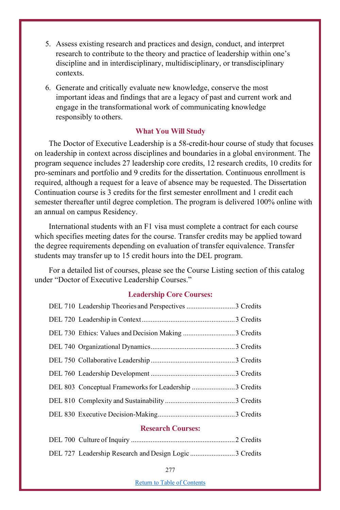- 5. Assess existing research and practices and design, conduct, and interpret research to contribute to the theory and practice of leadership within one's discipline and in interdisciplinary, multidisciplinary, or transdisciplinary contexts.
- 6. Generate and critically evaluate new knowledge, conserve the most important ideas and findings that are a legacy of past and current work and engage in the transformational work of communicating knowledge responsibly to others.

## **What You Will Study**

The Doctor of Executive Leadership is a 58-credit-hour course of study that focuses on leadership in context across disciplines and boundaries in a global environment. The program sequence includes 27 leadership core credits, 12 research credits, 10 credits for pro-seminars and portfolio and 9 credits for the dissertation. Continuous enrollment is required, although a request for a leave of absence may be requested. The Dissertation Continuation course is 3 credits for the first semester enrollment and 1 credit each semester thereafter until degree completion. The program is delivered 100% online with an annual on campus Residency.

International students with an F1 visa must complete a contract for each course which specifies meeting dates for the course. Transfer credits may be applied toward the degree requirements depending on evaluation of transfer equivalence. Transfer students may transfer up to 15 credit hours into the DEL program.

For a detailed list of courses, please see the Course Listing section of this catalog under "Doctor of Executive Leadership Courses."

## **Leadership Core Courses:**

| DEL 710 Leadership Theories and Perspectives 3 Credits |  |
|--------------------------------------------------------|--|
|                                                        |  |
|                                                        |  |
|                                                        |  |
|                                                        |  |
|                                                        |  |
| DEL 803 Conceptual Frameworks for Leadership 3 Credits |  |
|                                                        |  |
|                                                        |  |
|                                                        |  |

#### **Research Courses:**

| DEL 727 Leadership Research and Design Logic 3 Credits |  |
|--------------------------------------------------------|--|

Return to Table of Contents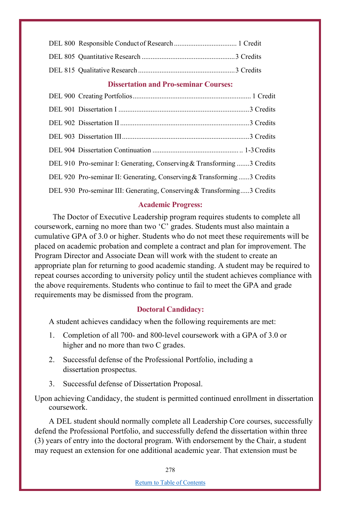## **Dissertation and Pro-seminar Courses:**

| DEL 910 Pro-seminar I: Generating, Conserving & Transforming 3 Credits  |
|-------------------------------------------------------------------------|
| DEL 920 Pro-seminar II: Generating, Conserving & Transforming3 Credits  |
| DEL 930 Pro-seminar III: Generating, Conserving & Transforming3 Credits |

## **Academic Progress:**

The Doctor of Executive Leadership program requires students to complete all coursework, earning no more than two 'C' grades. Students must also maintain a cumulative GPA of 3.0 or higher. Students who do not meet these requirements will be placed on academic probation and complete a contract and plan for improvement. The Program Director and Associate Dean will work with the student to create an appropriate plan for returning to good academic standing. A student may be required to repeat courses according to university policy until the student achieves compliance with the above requirements. Students who continue to fail to meet the GPA and grade requirements may be dismissed from the program.

#### **Doctoral Candidacy:**

A student achieves candidacy when the following requirements are met:

- 1. Completion of all 700- and 800-level coursework with a GPA of 3.0 or higher and no more than two C grades.
- 2. Successful defense of the Professional Portfolio, including a dissertation prospectus.
- 3. Successful defense of Dissertation Proposal.

Upon achieving Candidacy, the student is permitted continued enrollment in dissertation coursework.

A DEL student should normally complete all Leadership Core courses, successfully defend the Professional Portfolio, and successfully defend the dissertation within three (3) years of entry into the doctoral program. With endorsement by the Chair, a student may request an extension for one additional academic year. That extension must be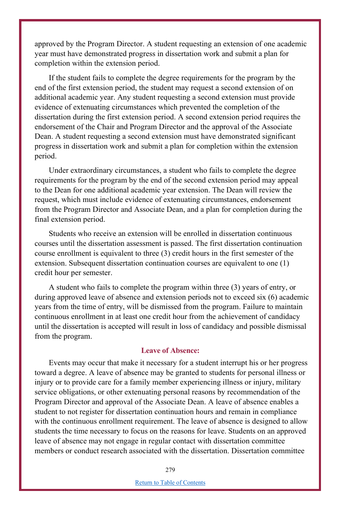approved by the Program Director. A student requesting an extension of one academic year must have demonstrated progress in dissertation work and submit a plan for completion within the extension period.

If the student fails to complete the degree requirements for the program by the end of the first extension period, the student may request a second extension of on additional academic year. Any student requesting a second extension must provide evidence of extenuating circumstances which prevented the completion of the dissertation during the first extension period. A second extension period requires the endorsement of the Chair and Program Director and the approval of the Associate Dean. A student requesting a second extension must have demonstrated significant progress in dissertation work and submit a plan for completion within the extension period.

Under extraordinary circumstances, a student who fails to complete the degree requirements for the program by the end of the second extension period may appeal to the Dean for one additional academic year extension. The Dean will review the request, which must include evidence of extenuating circumstances, endorsement from the Program Director and Associate Dean, and a plan for completion during the final extension period.

Students who receive an extension will be enrolled in dissertation continuous courses until the dissertation assessment is passed. The first dissertation continuation course enrollment is equivalent to three (3) credit hours in the first semester of the extension. Subsequent dissertation continuation courses are equivalent to one (1) credit hour per semester.

A student who fails to complete the program within three (3) years of entry, or during approved leave of absence and extension periods not to exceed six (6) academic years from the time of entry, will be dismissed from the program. Failure to maintain continuous enrollment in at least one credit hour from the achievement of candidacy until the dissertation is accepted will result in loss of candidacy and possible dismissal from the program.

### **Leave of Absence:**

Events may occur that make it necessary for a student interrupt his or her progress toward a degree. A leave of absence may be granted to students for personal illness or injury or to provide care for a family member experiencing illness or injury, military service obligations, or other extenuating personal reasons by recommendation of the Program Director and approval of the Associate Dean. A leave of absence enables a student to not register for dissertation continuation hours and remain in compliance with the continuous enrollment requirement. The leave of absence is designed to allow students the time necessary to focus on the reasons for leave. Students on an approved leave of absence may not engage in regular contact with dissertation committee members or conduct research associated with the dissertation. Dissertation committee